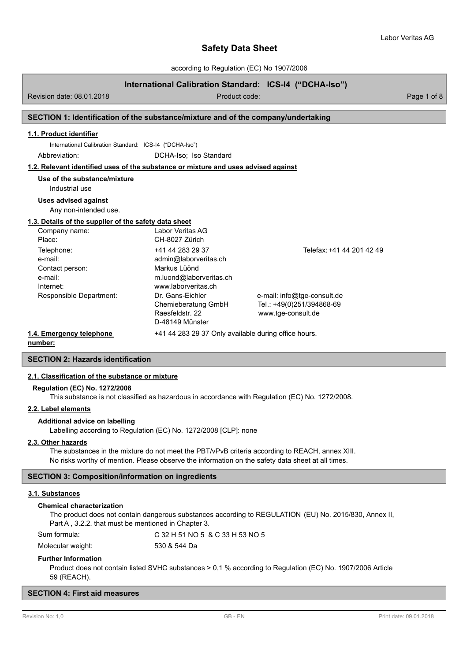according to Regulation (EC) No 1907/2006

# **International Calibration Standard: ICS-I4 ("DCHA-Iso")**

Revision date: 08.01.2018 **Product code:** Product code: Product code: Page 1 of 8

# **SECTION 1: Identification of the substance/mixture and of the company/undertaking**

### **1.1. Product identifier**

International Calibration Standard: ICS-I4 ("DCHA-Iso")

Abbreviation: DCHA-Iso; Iso Standard

### **1.2. Relevant identified uses of the substance or mixture and uses advised against**

**Use of the substance/mixture**

# Industrial use

**Uses advised against**

Any non-intended use.

#### **1.3. Details of the supplier of the safety data sheet**

| Company name:            | Labor Veritas AG                                     |                             |
|--------------------------|------------------------------------------------------|-----------------------------|
| Place:                   | CH-8027 Zürich                                       |                             |
| Telephone:               | +41 44 283 29 37                                     | Telefax: +41 44 201 42 49   |
| e-mail:                  | admin@laborveritas.ch                                |                             |
| Contact person:          | Markus Lüönd                                         |                             |
| e-mail:                  | m.luond@laborveritas.ch                              |                             |
| Internet:                | www.laborveritas.ch                                  |                             |
| Responsible Department:  | Dr. Gans-Eichler                                     | e-mail: info@tge-consult.de |
|                          | Chemieberatung GmbH                                  | Tel.: +49(0)251/394868-69   |
|                          | Raesfeldstr, 22                                      | www.tge-consult.de          |
|                          | D-48149 Münster                                      |                             |
| 1.4. Emergency telephone | +41 44 283 29 37 Only available during office hours. |                             |

**number:**

# **SECTION 2: Hazards identification**

# **2.1. Classification of the substance or mixture**

#### **Regulation (EC) No. 1272/2008**

This substance is not classified as hazardous in accordance with Regulation (EC) No. 1272/2008.

### **2.2. Label elements**

### **Additional advice on labelling**

Labelling according to Regulation (EC) No. 1272/2008 [CLP]: none

### **2.3. Other hazards**

The substances in the mixture do not meet the PBT/vPvB criteria according to REACH, annex XIII. No risks worthy of mention. Please observe the information on the safety data sheet at all times.

### **SECTION 3: Composition/information on ingredients**

# **3.1. Substances**

#### **Chemical characterization**

The product does not contain dangerous substances according to REGULATION (EU) No. 2015/830, Annex II, Part A , 3.2.2. that must be mentioned in Chapter 3.

Sum formula: C 32 H 51 NO 5 & C 33 H 53 NO 5

Molecular weight: 530 & 544 Da

### **Further Information**

Product does not contain listed SVHC substances > 0,1 % according to Regulation (EC) No. 1907/2006 Article 59 (REACH).

### **SECTION 4: First aid measures**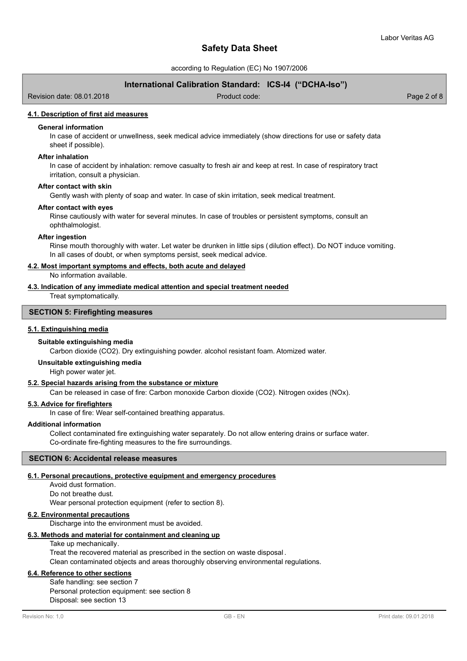according to Regulation (EC) No 1907/2006

# **International Calibration Standard: ICS-I4 ("DCHA-Iso")**

Revision date: 08.01.2018 Product code: Page 2 of 8

### **4.1. Description of first aid measures**

## **General information**

In case of accident or unwellness, seek medical advice immediately (show directions for use or safety data sheet if possible).

#### **After inhalation**

In case of accident by inhalation: remove casualty to fresh air and keep at rest. In case of respiratory tract irritation, consult a physician.

#### **After contact with skin**

Gently wash with plenty of soap and water. In case of skin irritation, seek medical treatment.

#### **After contact with eyes**

Rinse cautiously with water for several minutes. In case of troubles or persistent symptoms, consult an ophthalmologist.

### **After ingestion**

Rinse mouth thoroughly with water. Let water be drunken in little sips (dilution effect). Do NOT induce vomiting. In all cases of doubt, or when symptoms persist, seek medical advice.

### **4.2. Most important symptoms and effects, both acute and delayed**

No information available.

### **4.3. Indication of any immediate medical attention and special treatment needed**

Treat symptomatically.

### **SECTION 5: Firefighting measures**

### **5.1. Extinguishing media**

#### **Suitable extinguishing media**

Carbon dioxide (CO2). Dry extinguishing powder. alcohol resistant foam. Atomized water.

### **Unsuitable extinguishing media**

High power water jet.

### **5.2. Special hazards arising from the substance or mixture**

Can be released in case of fire: Carbon monoxide Carbon dioxide (CO2). Nitrogen oxides (NOx).

# **5.3. Advice for firefighters**

In case of fire: Wear self-contained breathing apparatus.

# **Additional information**

Collect contaminated fire extinguishing water separately. Do not allow entering drains or surface water. Co-ordinate fire-fighting measures to the fire surroundings.

### **SECTION 6: Accidental release measures**

#### **6.1. Personal precautions, protective equipment and emergency procedures**

Avoid dust formation. Do not breathe dust. Wear personal protection equipment (refer to section 8).

### **6.2. Environmental precautions**

Discharge into the environment must be avoided.

### **6.3. Methods and material for containment and cleaning up**

Take up mechanically.

Treat the recovered material as prescribed in the section on waste disposal . Clean contaminated objects and areas thoroughly observing environmental regulations.

### **6.4. Reference to other sections**

Safe handling: see section 7 Personal protection equipment: see section 8 Disposal: see section 13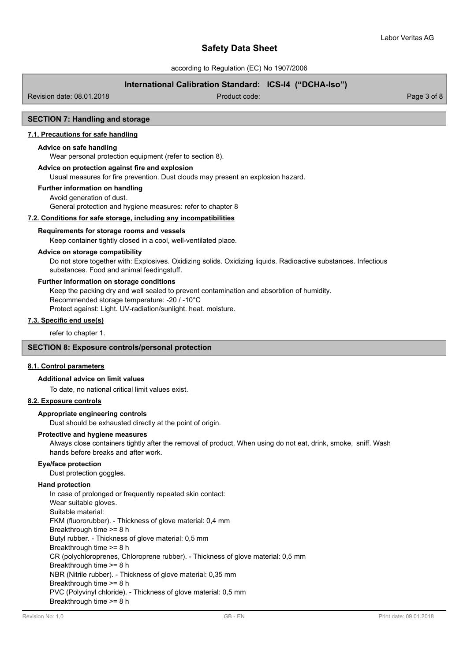according to Regulation (EC) No 1907/2006

# **International Calibration Standard: ICS-I4 ("DCHA-Iso")**

Revision date: 08.01.2018 Product code: Page 3 of 8

# **SECTION 7: Handling and storage**

### **7.1. Precautions for safe handling**

#### **Advice on safe handling**

Wear personal protection equipment (refer to section 8).

### **Advice on protection against fire and explosion**

Usual measures for fire prevention. Dust clouds may present an explosion hazard.

### **Further information on handling**

Avoid generation of dust. General protection and hygiene measures: refer to chapter 8

**7.2. Conditions for safe storage, including any incompatibilities**

#### **Requirements for storage rooms and vessels**

Keep container tightly closed in a cool, well-ventilated place.

### **Advice on storage compatibility**

Do not store together with: Explosives. Oxidizing solids. Oxidizing liquids. Radioactive substances. Infectious substances. Food and animal feedingstuff.

### **Further information on storage conditions**

Keep the packing dry and well sealed to prevent contamination and absorbtion of humidity.

Recommended storage temperature: -20 / -10°C

Protect against: Light. UV-radiation/sunlight. heat. moisture.

# **7.3. Specific end use(s)**

refer to chapter 1.

# **SECTION 8: Exposure controls/personal protection**

### **8.1. Control parameters**

#### **Additional advice on limit values**

To date, no national critical limit values exist.

### **8.2. Exposure controls**

### **Appropriate engineering controls**

Dust should be exhausted directly at the point of origin.

### **Protective and hygiene measures**

Always close containers tightly after the removal of product. When using do not eat, drink, smoke, sniff. Wash hands before breaks and after work.

#### **Eye/face protection**

Dust protection goggles.

### **Hand protection**

In case of prolonged or frequently repeated skin contact: Wear suitable gloves. Suitable material: FKM (fluororubber). - Thickness of glove material: 0,4 mm Breakthrough time >= 8 h Butyl rubber. - Thickness of glove material: 0,5 mm Breakthrough time >= 8 h CR (polychloroprenes, Chloroprene rubber). - Thickness of glove material: 0,5 mm Breakthrough time >= 8 h NBR (Nitrile rubber). - Thickness of glove material: 0,35 mm Breakthrough time >= 8 h PVC (Polyvinyl chloride). - Thickness of glove material: 0,5 mm Breakthrough time >= 8 h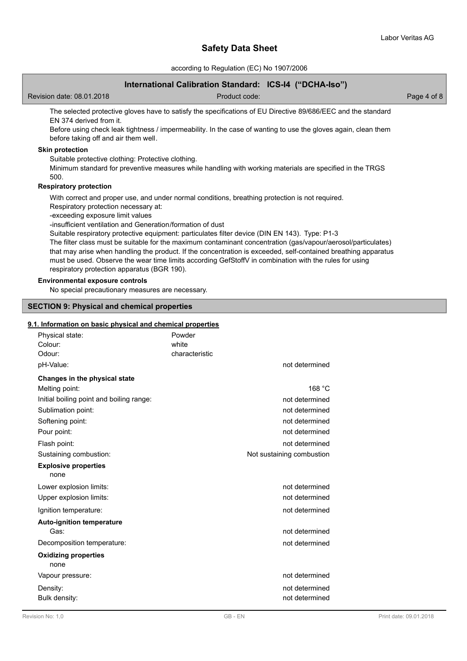according to Regulation (EC) No 1907/2006

# **International Calibration Standard: ICS-I4 ("DCHA-Iso")**

Revision date: 08.01.2018 and 2010 Product code: Product code: Page 4 of 8

The selected protective gloves have to satisfy the specifications of EU Directive 89/686/EEC and the standard EN 374 derived from it.

Before using check leak tightness / impermeability. In the case of wanting to use the gloves again, clean them before taking off and air them well.

## **Skin protection**

Suitable protective clothing: Protective clothing.

Minimum standard for preventive measures while handling with working materials are specified in the TRGS 500.

### **Respiratory protection**

With correct and proper use, and under normal conditions, breathing protection is not required.

Respiratory protection necessary at:

-exceeding exposure limit values

-insufficient ventilation and Generation/formation of dust

Suitable respiratory protective equipment: particulates filter device (DIN EN 143). Type: P1-3

The filter class must be suitable for the maximum contaminant concentration (gas/vapour/aerosol/particulates) that may arise when handling the product. If the concentration is exceeded, self-contained breathing apparatus must be used. Observe the wear time limits according GefStoffV in combination with the rules for using respiratory protection apparatus (BGR 190).

# **Environmental exposure controls**

No special precautionary measures are necessary.

### **SECTION 9: Physical and chemical properties**

### **9.1. Information on basic physical and chemical properties**

| Physical state:<br>Colour:<br>Odour:     | Powder<br>white<br>characteristic |                           |
|------------------------------------------|-----------------------------------|---------------------------|
| pH-Value:                                |                                   | not determined            |
| Changes in the physical state            |                                   |                           |
| Melting point:                           |                                   | 168 °C                    |
| Initial boiling point and boiling range: |                                   | not determined            |
| Sublimation point:                       |                                   | not determined            |
| Softening point:                         |                                   | not determined            |
| Pour point:                              |                                   | not determined            |
| Flash point:                             |                                   | not determined            |
| Sustaining combustion:                   |                                   | Not sustaining combustion |
| <b>Explosive properties</b><br>none      |                                   |                           |
| Lower explosion limits:                  |                                   | not determined            |
| Upper explosion limits:                  |                                   | not determined            |
| Ignition temperature:                    |                                   | not determined            |
| <b>Auto-ignition temperature</b>         |                                   |                           |
| Gas:                                     |                                   | not determined            |
| Decomposition temperature:               |                                   | not determined            |
| <b>Oxidizing properties</b><br>none      |                                   |                           |
| Vapour pressure:                         |                                   | not determined            |
| Density:                                 |                                   | not determined            |
| Bulk density:                            |                                   | not determined            |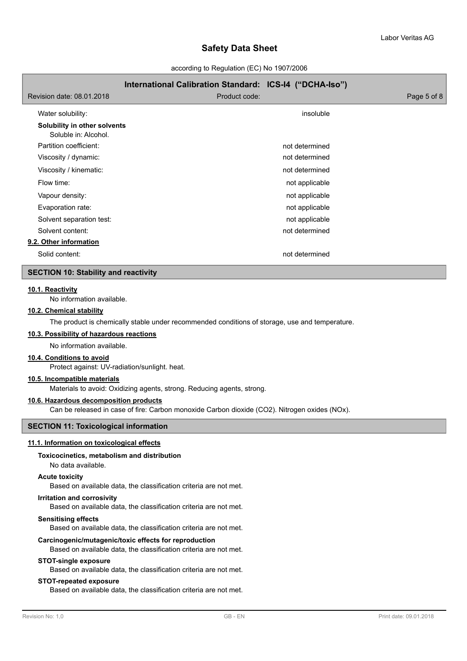according to Regulation (EC) No 1907/2006

|                                                      | International Calibration Standard: ICS-I4 ("DCHA-Iso") |                |             |
|------------------------------------------------------|---------------------------------------------------------|----------------|-------------|
| Revision date: 08.01.2018                            | Product code:                                           |                | Page 5 of 8 |
| Water solubility:                                    |                                                         | insoluble      |             |
| Solubility in other solvents<br>Soluble in: Alcohol. |                                                         |                |             |
| Partition coefficient:                               |                                                         | not determined |             |
| Viscosity / dynamic:                                 |                                                         | not determined |             |
| Viscosity / kinematic:                               |                                                         | not determined |             |
| Flow time:                                           |                                                         | not applicable |             |
| Vapour density:                                      |                                                         | not applicable |             |
| Evaporation rate:                                    |                                                         | not applicable |             |
| Solvent separation test:                             |                                                         | not applicable |             |
| Solvent content:                                     |                                                         | not determined |             |
| 9.2. Other information                               |                                                         |                |             |
| Solid content:                                       |                                                         | not determined |             |

### **SECTION 10: Stability and reactivity**

### **10.1. Reactivity**

No information available.

### **10.2. Chemical stability**

The product is chemically stable under recommended conditions of storage, use and temperature.

### **10.3. Possibility of hazardous reactions**

No information available.

# **10.4. Conditions to avoid**

Protect against: UV-radiation/sunlight. heat.

## **10.5. Incompatible materials**

Materials to avoid: Oxidizing agents, strong. Reducing agents, strong.

# **10.6. Hazardous decomposition products**

Can be released in case of fire: Carbon monoxide Carbon dioxide (CO2). Nitrogen oxides (NOx).

# **SECTION 11: Toxicological information**

### **11.1. Information on toxicological effects**

### **Toxicocinetics, metabolism and distribution**

No data available.

#### **Acute toxicity**

Based on available data, the classification criteria are not met.

#### **Irritation and corrosivity**

Based on available data, the classification criteria are not met.

### **Sensitising effects**

Based on available data, the classification criteria are not met.

### **Carcinogenic/mutagenic/toxic effects for reproduction**

Based on available data, the classification criteria are not met.

#### **STOT-single exposure**

Based on available data, the classification criteria are not met.

### **STOT-repeated exposure**

Based on available data, the classification criteria are not met.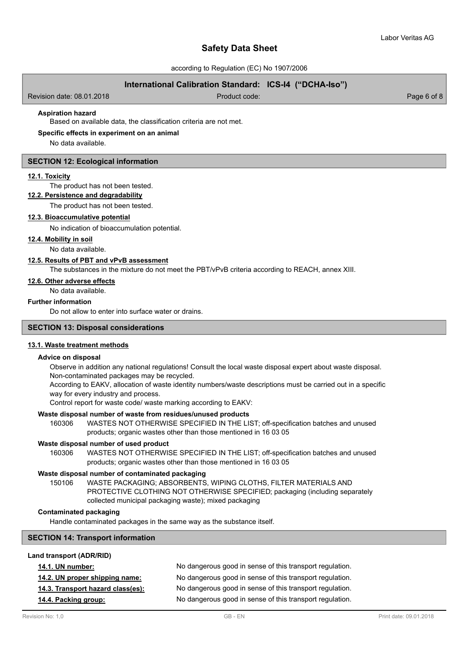according to Regulation (EC) No 1907/2006

# **International Calibration Standard: ICS-I4 ("DCHA-Iso")**

Revision date: 08.01.2018 Product code: Page 6 of 8

### **Aspiration hazard**

Based on available data, the classification criteria are not met.

### **Specific effects in experiment on an animal**

No data available.

#### **SECTION 12: Ecological information**

#### **12.1. Toxicity**

The product has not been tested.

# **12.2. Persistence and degradability**

The product has not been tested.

### **12.3. Bioaccumulative potential**

No indication of bioaccumulation potential.

#### **12.4. Mobility in soil**

No data available.

#### **12.5. Results of PBT and vPvB assessment**

The substances in the mixture do not meet the PBT/vPvB criteria according to REACH, annex XIII.

## **12.6. Other adverse effects**

No data available.

# **Further information**

Do not allow to enter into surface water or drains.

# **SECTION 13: Disposal considerations**

#### **13.1. Waste treatment methods**

### **Advice on disposal**

Observe in addition any national regulations! Consult the local waste disposal expert about waste disposal. Non-contaminated packages may be recycled.

According to EAKV, allocation of waste identity numbers/waste descriptions must be carried out in a specific way for every industry and process.

Control report for waste code/ waste marking according to EAKV:

#### **Waste disposal number of waste from residues/unused products**

160306 WASTES NOT OTHERWISE SPECIFIED IN THE LIST; off-specification batches and unused products; organic wastes other than those mentioned in 16 03 05

#### **Waste disposal number of used product**

WASTES NOT OTHERWISE SPECIFIED IN THE LIST; off-specification batches and unused products; organic wastes other than those mentioned in 16 03 05 160306

### **Waste disposal number of contaminated packaging**

WASTE PACKAGING; ABSORBENTS, WIPING CLOTHS, FILTER MATERIALS AND PROTECTIVE CLOTHING NOT OTHERWISE SPECIFIED; packaging (including separately collected municipal packaging waste); mixed packaging 150106

### **Contaminated packaging**

Handle contaminated packages in the same way as the substance itself.

# **SECTION 14: Transport information**

## **Land transport (ADR/RID)**

| <b>14.1. UN number:</b>           | No dangerous good in sense of this transport regulation. |
|-----------------------------------|----------------------------------------------------------|
| 14.2. UN proper shipping name:    | No dangerous good in sense of this transport regulation. |
| 14.3. Transport hazard class(es): | No dangerous good in sense of this transport regulation. |
| 14.4. Packing group:              | No dangerous good in sense of this transport regulation. |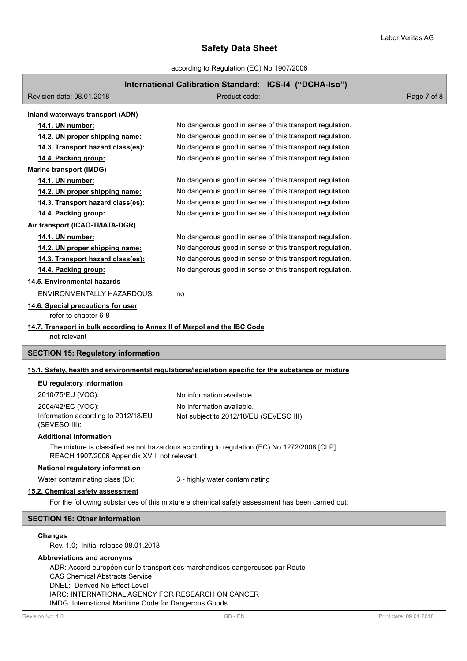according to Regulation (EC) No 1907/2006

# **International Calibration Standard: ICS-I4 ("DCHA-Iso")**

| $\frac{1}{2}$                                                                                        |                                                          |             |  |  |  |
|------------------------------------------------------------------------------------------------------|----------------------------------------------------------|-------------|--|--|--|
| Revision date: 08.01.2018                                                                            | Product code:                                            | Page 7 of 8 |  |  |  |
| Inland waterways transport (ADN)                                                                     |                                                          |             |  |  |  |
| 14.1. UN number:                                                                                     | No dangerous good in sense of this transport regulation. |             |  |  |  |
| 14.2. UN proper shipping name:                                                                       | No dangerous good in sense of this transport regulation. |             |  |  |  |
| 14.3. Transport hazard class(es):                                                                    | No dangerous good in sense of this transport regulation. |             |  |  |  |
| 14.4. Packing group:                                                                                 | No dangerous good in sense of this transport regulation. |             |  |  |  |
| <b>Marine transport (IMDG)</b>                                                                       |                                                          |             |  |  |  |
| 14.1. UN number:                                                                                     | No dangerous good in sense of this transport regulation. |             |  |  |  |
| 14.2. UN proper shipping name:                                                                       | No dangerous good in sense of this transport regulation. |             |  |  |  |
| 14.3. Transport hazard class(es):                                                                    | No dangerous good in sense of this transport regulation. |             |  |  |  |
| 14.4. Packing group:                                                                                 | No dangerous good in sense of this transport regulation. |             |  |  |  |
| Air transport (ICAO-TI/IATA-DGR)                                                                     |                                                          |             |  |  |  |
| 14.1. UN number:                                                                                     | No dangerous good in sense of this transport regulation. |             |  |  |  |
| 14.2. UN proper shipping name:                                                                       | No dangerous good in sense of this transport regulation. |             |  |  |  |
| 14.3. Transport hazard class(es):                                                                    | No dangerous good in sense of this transport regulation. |             |  |  |  |
| 14.4. Packing group:                                                                                 | No dangerous good in sense of this transport regulation. |             |  |  |  |
| 14.5. Environmental hazards                                                                          |                                                          |             |  |  |  |
| <b>ENVIRONMENTALLY HAZARDOUS:</b>                                                                    | no                                                       |             |  |  |  |
| 14.6. Special precautions for user<br>refer to chapter 6-8                                           |                                                          |             |  |  |  |
| 14.7. Transport in bulk according to Annex II of Marpol and the IBC Code<br>not relevant             |                                                          |             |  |  |  |
| <b>SECTION 15: Regulatory information</b>                                                            |                                                          |             |  |  |  |
| 15.1. Safety, health and environmental regulations/legislation specific for the substance or mixture |                                                          |             |  |  |  |
| EU regulatory information                                                                            |                                                          |             |  |  |  |
| 2010/75/EU (VOC):                                                                                    | No information available.                                |             |  |  |  |
| 2004/42/EC (VOC):                                                                                    | No information available.                                |             |  |  |  |
| Information according to 2012/18/EU                                                                  | Not subject to 2012/18/EU (SEVESO III)                   |             |  |  |  |

### **Additional information**

(SEVESO III):

The mixture is classified as not hazardous according to regulation (EC) No 1272/2008 [CLP]. REACH 1907/2006 Appendix XVII: not relevant

# **National regulatory information**

Water contaminating class (D): 3 - highly water contaminating

### **15.2. Chemical safety assessment**

For the following substances of this mixture a chemical safety assessment has been carried out:

# **SECTION 16: Other information**

### **Changes**

Rev. 1.0; Initial release 08.01.2018

# **Abbreviations and acronyms**

ADR: Accord européen sur le transport des marchandises dangereuses par Route CAS Chemical Abstracts Service DNEL: Derived No Effect Level IARC: INTERNATIONAL AGENCY FOR RESEARCH ON CANCER IMDG: International Maritime Code for Dangerous Goods